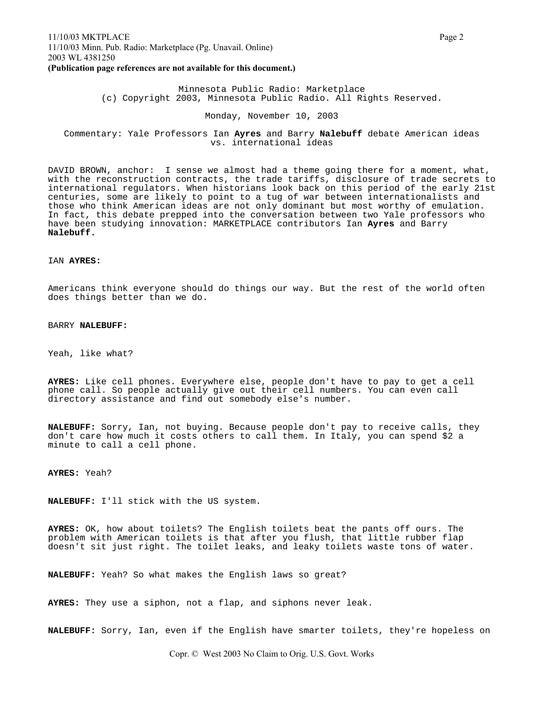11/10/03 MKTPLACE Page 2 11/10/03 Minn. Pub. Radio: Marketplace (Pg. Unavail. Online) 2003 WL 4381250 **(Publication page references are not available for this document.)**

> Minnesota Public Radio: Marketplace (c) Copyright 2003, Minnesota Public Radio. All Rights Reserved.

> > Monday, November 10, 2003

Commentary: Yale Professors Ian **Ayres** and Barry **Nalebuff** debate American ideas vs. international ideas

DAVID BROWN, anchor: I sense we almost had a theme going there for a moment, what, with the reconstruction contracts, the trade tariffs, disclosure of trade secrets to international regulators. When historians look back on this period of the early 21st centuries, some are likely to point to a tug of war between internationalists and those who think American ideas are not only dominant but most worthy of emulation. In fact, this debate prepped into the conversation between two Yale professors who have been studying innovation: MARKETPLACE contributors Ian **Ayres** and Barry **Nalebuff.**

## IAN **AYRES:**

Americans think everyone should do things our way. But the rest of the world often does things better than we do.

BARRY **NALEBUFF:**

Yeah, like what?

**AYRES:** Like cell phones. Everywhere else, people don't have to pay to get a cell phone call. So people actually give out their cell numbers. You can even call directory assistance and find out somebody else's number.

**NALEBUFF:** Sorry, Ian, not buying. Because people don't pay to receive calls, they don't care how much it costs others to call them. In Italy, you can spend \$2 a minute to call a cell phone.

**AYRES:** Yeah?

**NALEBUFF:** I'll stick with the US system.

**AYRES:** OK, how about toilets? The English toilets beat the pants off ours. The problem with American toilets is that after you flush, that little rubber flap doesn't sit just right. The toilet leaks, and leaky toilets waste tons of water.

**NALEBUFF:** Yeah? So what makes the English laws so great?

**AYRES:** They use a siphon, not a flap, and siphons never leak.

**NALEBUFF:** Sorry, Ian, even if the English have smarter toilets, they're hopeless on

Copr. © West 2003 No Claim to Orig. U.S. Govt. Works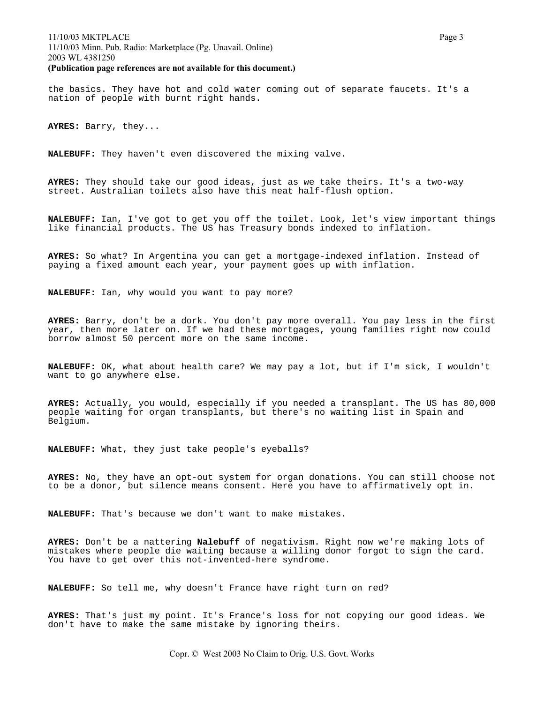## 11/10/03 MKTPLACE Page 3 11/10/03 Minn. Pub. Radio: Marketplace (Pg. Unavail. Online) 2003 WL 4381250 **(Publication page references are not available for this document.)**

the basics. They have hot and cold water coming out of separate faucets. It's a nation of people with burnt right hands.

**AYRES:** Barry, they...

**NALEBUFF:** They haven't even discovered the mixing valve.

**AYRES:** They should take our good ideas, just as we take theirs. It's a two-way street. Australian toilets also have this neat half-flush option.

**NALEBUFF:** Ian, I've got to get you off the toilet. Look, let's view important things like financial products. The US has Treasury bonds indexed to inflation.

**AYRES:** So what? In Argentina you can get a mortgage-indexed inflation. Instead of paying a fixed amount each year, your payment goes up with inflation.

**NALEBUFF:** Ian, why would you want to pay more?

**AYRES:** Barry, don't be a dork. You don't pay more overall. You pay less in the first year, then more later on. If we had these mortgages, young families right now could borrow almost 50 percent more on the same income.

**NALEBUFF:** OK, what about health care? We may pay a lot, but if I'm sick, I wouldn't want to go anywhere else.

**AYRES:** Actually, you would, especially if you needed a transplant. The US has 80,000 people waiting for organ transplants, but there's no waiting list in Spain and Belgium.

**NALEBUFF:** What, they just take people's eyeballs?

**AYRES:** No, they have an opt-out system for organ donations. You can still choose not to be a donor, but silence means consent. Here you have to affirmatively opt in.

**NALEBUFF:** That's because we don't want to make mistakes.

**AYRES:** Don't be a nattering **Nalebuff** of negativism. Right now we're making lots of mistakes where people die waiting because a willing donor forgot to sign the card. You have to get over this not-invented-here syndrome.

**NALEBUFF:** So tell me, why doesn't France have right turn on red?

**AYRES:** That's just my point. It's France's loss for not copying our good ideas. We don't have to make the same mistake by ignoring theirs.

Copr. © West 2003 No Claim to Orig. U.S. Govt. Works